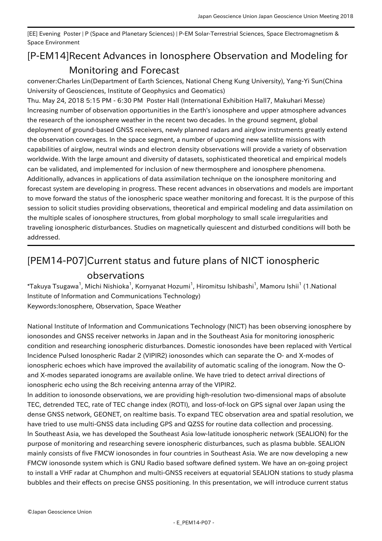[EE] Evening Poster | P (Space and Planetary Sciences) | P-EM Solar-Terrestrial Sciences, Space Electromagnetism & Space Environment

## [P-EM14] Recent Advances in Ionosphere Observation and Modeling for Monitoring and Forecast

convener:Charles Lin(Department of Earth Sciences, National Cheng Kung University), Yang-Yi Sun(China University of Geosciences, Institute of Geophysics and Geomatics)

Thu. May 24, 2018 5:15 PM - 6:30 PM Poster Hall (International Exhibition Hall7, Makuhari Messe) Increasing number of observation opportunities in the Earth's ionosphere and upper atmosphere advances the research of the ionosphere weather in the recent two decades. In the ground segment, global deployment of ground-based GNSS receivers, newly planned radars and airglow instruments greatly extend the observation coverages. In the space segment, a number of upcoming new satellite missions with capabilities of airglow, neutral winds and electron density observations will provide a variety of observation worldwide. With the large amount and diversity of datasets, sophisticated theoretical and empirical models can be validated, and implemented for inclusion of new thermosphere and ionosphere phenomena. Additionally, advances in applications of data assimilation technique on the ionosphere monitoring and forecast system are developing in progress. These recent advances in observations and models are important to move forward the status of the ionospheric space weather monitoring and forecast. It is the purpose of this session to solicit studies providing observations, theoretical and empirical modeling and data assimilation on the multiple scales of ionosphere structures, from global morphology to small scale irregularities and traveling ionospheric disturbances. Studies on magnetically quiescent and disturbed conditions will both be addressed.

## [PEM14-P07] Current status and future plans of NICT ionospheric observations

 $^*$ Takuya Tsugawa $^1$ , Michi Nishioka $^1$ , Kornyanat Hozumi $^1$ , Hiromitsu Ishibashi $^1$ , Mamoru Ishii $^1$  (1.National Institute of Information and Communications Technology) Keywords:Ionosphere, Observation, Space Weather

National Institute of Information and Communications Technology (NICT) has been observing ionosphere by ionosondes and GNSS receiver networks in Japan and in the Southeast Asia for monitoring ionospheric condition and researching ionospheric disturbances. Domestic ionosondes have been replaced with Vertical Incidence Pulsed Ionospheric Radar 2 (VIPIR2) ionosondes which can separate the O- and X-modes of ionospheric echoes which have improved the availability of automatic scaling of the ionogram. Now the Oand X-modes separated ionograms are available online. We have tried to detect arrival directions of ionospheric echo using the 8ch receiving antenna array of the VIPIR2.

In addition to ionosonde observations, we are providing high-resolution two-dimensional maps of absolute TEC, detrended TEC, rate of TEC change index (ROTI), and loss-of-lock on GPS signal over Japan using the dense GNSS network, GEONET, on realtime basis. To expand TEC observation area and spatial resolution, we have tried to use multi-GNSS data including GPS and QZSS for routine data collection and processing. In Southeast Asia, we has developed the Southeast Asia low-latitude ionospheric network (SEALION) for the purpose of monitoring and researching severe ionospheric disturbances, such as plasma bubble. SEALION mainly consists of five FMCW ionosondes in four countries in Southeast Asia. We are now developing a new FMCW ionosonde system which is GNU Radio based software defined system. We have an on-going project to install a VHF radar at Chumphon and multi-GNSS receivers at equatorial SEALION stations to study plasma bubbles and their effects on precise GNSS positioning. In this presentation, we will introduce current status